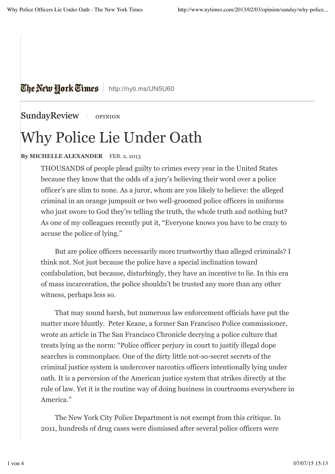## The Netu Hork Times | http://nyti.ms/UN5U60

## SundayReview | OPINION

## Why Police Lie Under Oath

## **By MICHELLE ALEXANDER** FEB. 2, 2013

THOUSANDS of people plead guilty to crimes every year in the United States because they know that the odds of a jury's believing their word over a police officer's are slim to none. As a juror, whom are you likely to believe: the alleged criminal in an orange jumpsuit or two well-groomed police officers in uniforms who just swore to God they're telling the truth, the whole truth and nothing but? As one of my colleagues recently put it, "Everyone knows you have to be crazy to accuse the police of lying."

But are police officers necessarily more trustworthy than alleged criminals? I think not. Not just because the police have a special inclination toward confabulation, but because, disturbingly, they have an incentive to lie. In this era of mass incarceration, the police shouldn't be trusted any more than any other witness, perhaps less so.

That may sound harsh, but numerous law enforcement officials have put the matter more bluntly. Peter Keane, a former San Francisco Police commissioner, wrote an article in The San Francisco Chronicle decrying a police culture that treats lying as the norm: "Police officer perjury in court to justify illegal dope searches is commonplace. One of the dirty little not-so-secret secrets of the criminal justice system is undercover narcotics officers intentionally lying under oath. It is a perversion of the American justice system that strikes directly at the rule of law. Yet it is the routine way of doing business in courtrooms everywhere in America."

The New York City Police Department is not exempt from this critique. In 2011, hundreds of drug cases were dismissed after several police officers were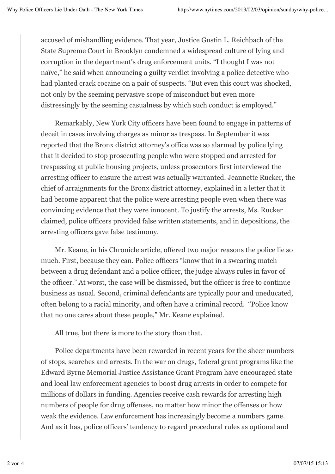accused of mishandling evidence. That year, Justice Gustin L. Reichbach of the State Supreme Court in Brooklyn condemned a widespread culture of lying and corruption in the department's drug enforcement units. "I thought I was not naïve," he said when announcing a guilty verdict involving a police detective who had planted crack cocaine on a pair of suspects. "But even this court was shocked, not only by the seeming pervasive scope of misconduct but even more distressingly by the seeming casualness by which such conduct is employed."

Remarkably, New York City officers have been found to engage in patterns of deceit in cases involving charges as minor as trespass. In September it was reported that the Bronx district attorney's office was so alarmed by police lying that it decided to stop prosecuting people who were stopped and arrested for trespassing at public housing projects, unless prosecutors first interviewed the arresting officer to ensure the arrest was actually warranted. Jeannette Rucker, the chief of arraignments for the Bronx district attorney, explained in a letter that it had become apparent that the police were arresting people even when there was convincing evidence that they were innocent. To justify the arrests, Ms. Rucker claimed, police officers provided false written statements, and in depositions, the arresting officers gave false testimony.

Mr. Keane, in his Chronicle article, offered two major reasons the police lie so much. First, because they can. Police officers "know that in a swearing match between a drug defendant and a police officer, the judge always rules in favor of the officer." At worst, the case will be dismissed, but the officer is free to continue business as usual. Second, criminal defendants are typically poor and uneducated, often belong to a racial minority, and often have a criminal record. "Police know that no one cares about these people," Mr. Keane explained.

All true, but there is more to the story than that.

Police departments have been rewarded in recent years for the sheer numbers of stops, searches and arrests. In the war on drugs, federal grant programs like the Edward Byrne Memorial Justice Assistance Grant Program have encouraged state and local law enforcement agencies to boost drug arrests in order to compete for millions of dollars in funding. Agencies receive cash rewards for arresting high numbers of people for drug offenses, no matter how minor the offenses or how weak the evidence. Law enforcement has increasingly become a numbers game. And as it has, police officers' tendency to regard procedural rules as optional and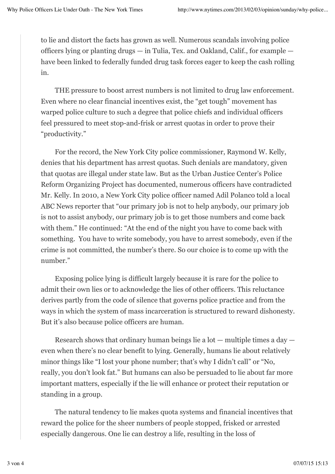to lie and distort the facts has grown as well. Numerous scandals involving police officers lying or planting drugs — in Tulia, Tex. and Oakland, Calif., for example have been linked to federally funded drug task forces eager to keep the cash rolling in.

THE pressure to boost arrest numbers is not limited to drug law enforcement. Even where no clear financial incentives exist, the "get tough" movement has warped police culture to such a degree that police chiefs and individual officers feel pressured to meet stop-and-frisk or arrest quotas in order to prove their "productivity."

For the record, the New York City police commissioner, Raymond W. Kelly, denies that his department has arrest quotas. Such denials are mandatory, given that quotas are illegal under state law. But as the Urban Justice Center's Police Reform Organizing Project has documented, numerous officers have contradicted Mr. Kelly. In 2010, a New York City police officer named Adil Polanco told a local ABC News reporter that "our primary job is not to help anybody, our primary job is not to assist anybody, our primary job is to get those numbers and come back with them." He continued: "At the end of the night you have to come back with something. You have to write somebody, you have to arrest somebody, even if the crime is not committed, the number's there. So our choice is to come up with the number."

Exposing police lying is difficult largely because it is rare for the police to admit their own lies or to acknowledge the lies of other officers. This reluctance derives partly from the code of silence that governs police practice and from the ways in which the system of mass incarceration is structured to reward dishonesty. But it's also because police officers are human.

Research shows that ordinary human beings lie a lot — multiple times a day even when there's no clear benefit to lying. Generally, humans lie about relatively minor things like "I lost your phone number; that's why I didn't call" or "No, really, you don't look fat." But humans can also be persuaded to lie about far more important matters, especially if the lie will enhance or protect their reputation or standing in a group.

The natural tendency to lie makes quota systems and financial incentives that reward the police for the sheer numbers of people stopped, frisked or arrested especially dangerous. One lie can destroy a life, resulting in the loss of